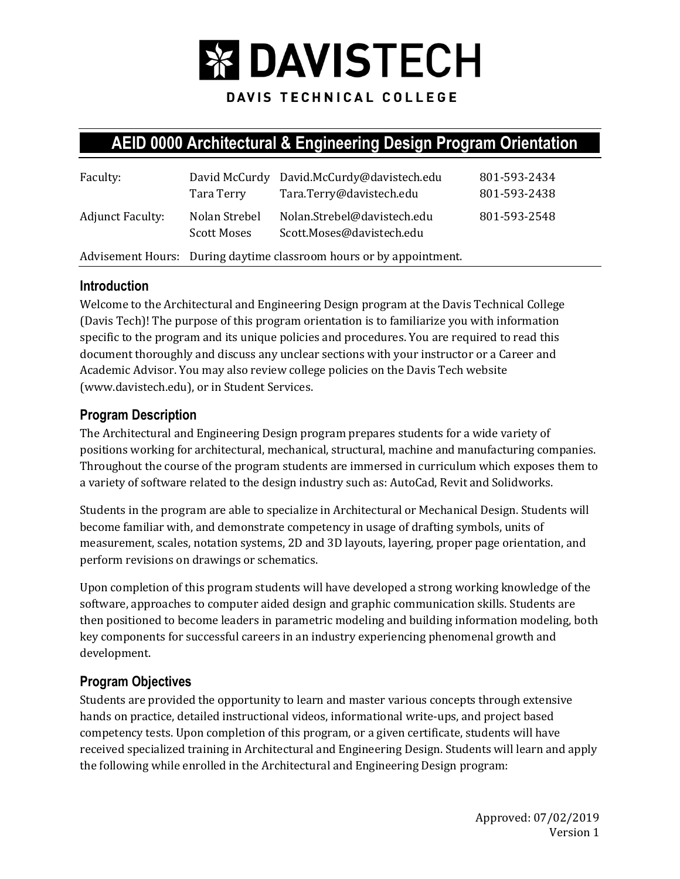

DAVIS TECHNICAL COLLEGE

# **AEID 0000 Architectural & Engineering Design Program Orientation**

| Faculty:                | Tara Terry                   | David McCurdy David.McCurdy@davistech.edu<br>Tara.Terry@davistech.edu | 801-593-2434<br>801-593-2438 |
|-------------------------|------------------------------|-----------------------------------------------------------------------|------------------------------|
| <b>Adjunct Faculty:</b> | Nolan Strebel<br>Scott Moses | Nolan.Strebel@davistech.edu<br>Scott.Moses@davistech.edu              | 801-593-2548                 |
|                         |                              | Advisement Hours: During daytime classroom hours or by appointment.   |                              |

### **Introduction**

Welcome to the Architectural and Engineering Design program at the Davis Technical College (Davis Tech)! The purpose of this program orientation is to familiarize you with information specific to the program and its unique policies and procedures. You are required to read this document thoroughly and discuss any unclear sections with your instructor or a Career and Academic Advisor. You may also review college policies on the Davis Tech website (www.davistech.edu), or in Student Services.

### **Program Description**

The Architectural and Engineering Design program prepares students for a wide variety of positions working for architectural, mechanical, structural, machine and manufacturing companies. Throughout the course of the program students are immersed in curriculum which exposes them to a variety of software related to the design industry such as: AutoCad, Revit and Solidworks.

Students in the program are able to specialize in Architectural or Mechanical Design. Students will become familiar with, and demonstrate competency in usage of drafting symbols, units of measurement, scales, notation systems, 2D and 3D layouts, layering, proper page orientation, and perform revisions on drawings or schematics.

Upon completion of this program students will have developed a strong working knowledge of the software, approaches to computer aided design and graphic communication skills. Students are then positioned to become leaders in parametric modeling and building information modeling, both key components for successful careers in an industry experiencing phenomenal growth and development.

# **Program Objectives**

Students are provided the opportunity to learn and master various concepts through extensive hands on practice, detailed instructional videos, informational write-ups, and project based competency tests. Upon completion of this program, or a given certificate, students will have received specialized training in Architectural and Engineering Design. Students will learn and apply the following while enrolled in the Architectural and Engineering Design program: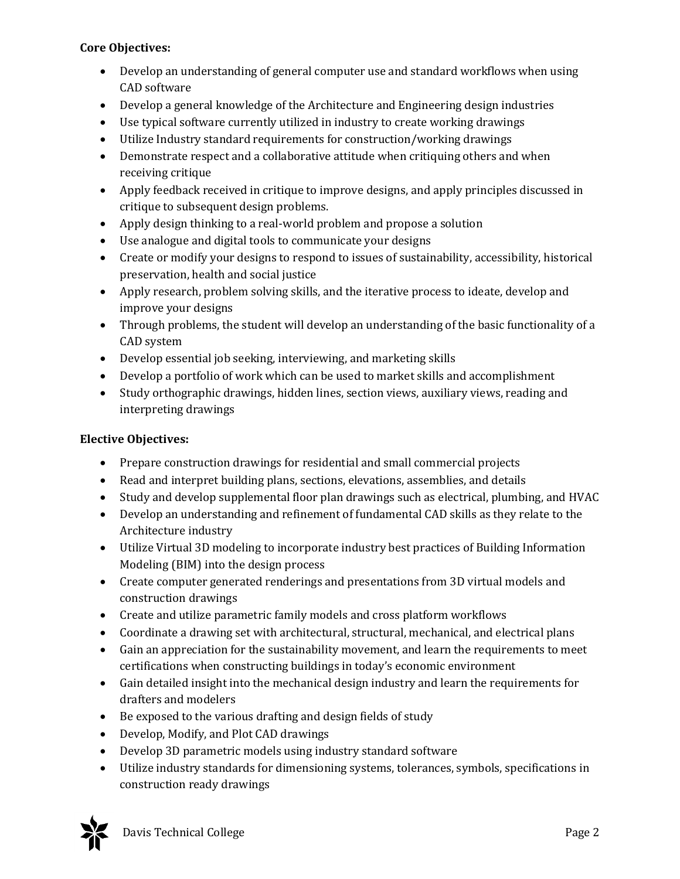#### **Core Objectives:**

- Develop an understanding of general computer use and standard workflows when using CAD software
- Develop a general knowledge of the Architecture and Engineering design industries
- Use typical software currently utilized in industry to create working drawings
- Utilize Industry standard requirements for construction/working drawings
- Demonstrate respect and a collaborative attitude when critiquing others and when receiving critique
- Apply feedback received in critique to improve designs, and apply principles discussed in critique to subsequent design problems.
- Apply design thinking to a real-world problem and propose a solution
- Use analogue and digital tools to communicate your designs
- Create or modify your designs to respond to issues of sustainability, accessibility, historical preservation, health and social justice
- Apply research, problem solving skills, and the iterative process to ideate, develop and improve your designs
- Through problems, the student will develop an understanding of the basic functionality of a CAD system
- Develop essential job seeking, interviewing, and marketing skills
- Develop a portfolio of work which can be used to market skills and accomplishment
- Study orthographic drawings, hidden lines, section views, auxiliary views, reading and interpreting drawings

#### **Elective Objectives:**

- Prepare construction drawings for residential and small commercial projects
- Read and interpret building plans, sections, elevations, assemblies, and details
- Study and develop supplemental floor plan drawings such as electrical, plumbing, and HVAC
- Develop an understanding and refinement of fundamental CAD skills as they relate to the Architecture industry
- Utilize Virtual 3D modeling to incorporate industry best practices of Building Information Modeling (BIM) into the design process
- Create computer generated renderings and presentations from 3D virtual models and construction drawings
- Create and utilize parametric family models and cross platform workflows
- Coordinate a drawing set with architectural, structural, mechanical, and electrical plans
- Gain an appreciation for the sustainability movement, and learn the requirements to meet certifications when constructing buildings in today's economic environment
- Gain detailed insight into the mechanical design industry and learn the requirements for drafters and modelers
- Be exposed to the various drafting and design fields of study
- Develop, Modify, and Plot CAD drawings
- Develop 3D parametric models using industry standard software
- Utilize industry standards for dimensioning systems, tolerances, symbols, specifications in construction ready drawings

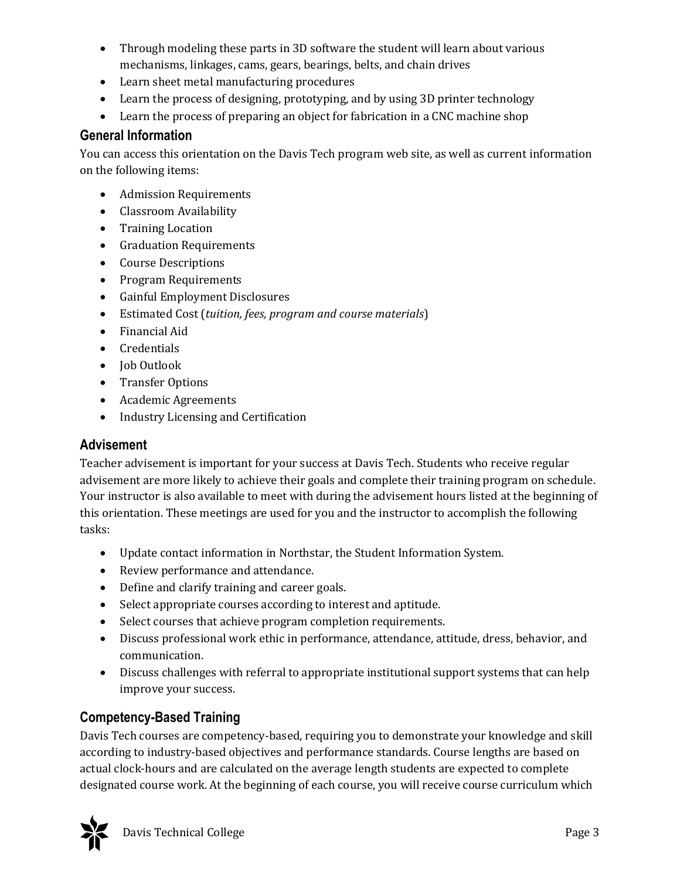- Through modeling these parts in 3D software the student will learn about various mechanisms, linkages, cams, gears, bearings, belts, and chain drives
- Learn sheet metal manufacturing procedures
- Learn the process of designing, prototyping, and by using 3D printer technology
- Learn the process of preparing an object for fabrication in a CNC machine shop

### **General Information**

You can access this orientation on the Davis Tech program web site, as well as current information on the following items:

- Admission Requirements
- Classroom Availability
- Training Location
- Graduation Requirements
- Course Descriptions
- Program Requirements
- Gainful Employment Disclosures
- Estimated Cost (*tuition, fees, program and course materials*)
- Financial Aid
- Credentials
- Job Outlook
- Transfer Options
- Academic Agreements
- Industry Licensing and Certification

### **Advisement**

Teacher advisement is important for your success at Davis Tech. Students who receive regular advisement are more likely to achieve their goals and complete their training program on schedule. Your instructor is also available to meet with during the advisement hours listed at the beginning of this orientation. These meetings are used for you and the instructor to accomplish the following tasks:

- Update contact information in Northstar, the Student Information System.
- Review performance and attendance.
- Define and clarify training and career goals.
- Select appropriate courses according to interest and aptitude.
- Select courses that achieve program completion requirements.
- Discuss professional work ethic in performance, attendance, attitude, dress, behavior, and communication.
- Discuss challenges with referral to appropriate institutional support systems that can help improve your success.

# **Competency-Based Training**

Davis Tech courses are competency-based, requiring you to demonstrate your knowledge and skill according to industry-based objectives and performance standards. Course lengths are based on actual clock-hours and are calculated on the average length students are expected to complete designated course work. At the beginning of each course, you will receive course curriculum which

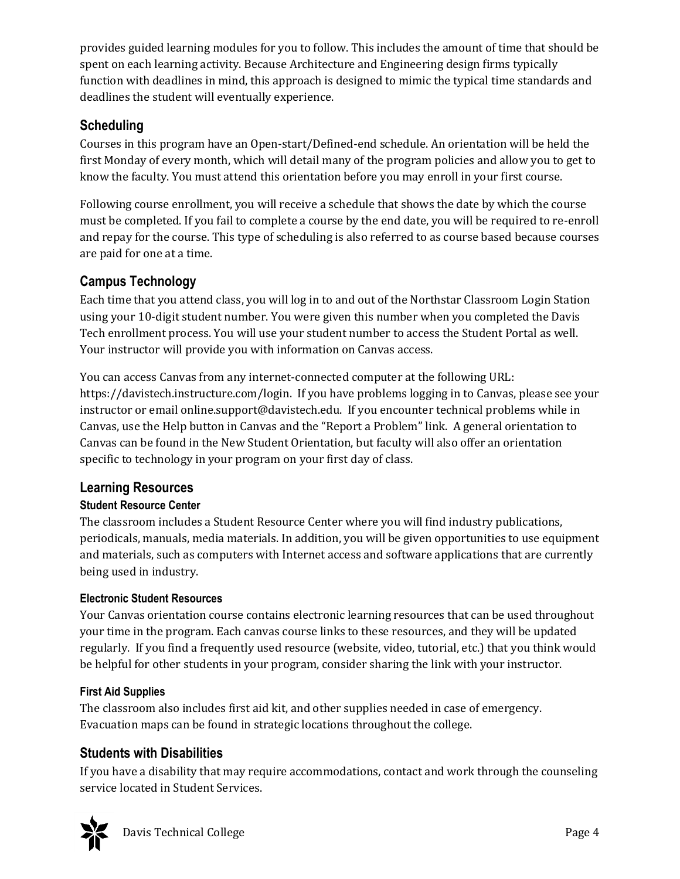provides guided learning modules for you to follow. This includes the amount of time that should be spent on each learning activity. Because Architecture and Engineering design firms typically function with deadlines in mind, this approach is designed to mimic the typical time standards and deadlines the student will eventually experience.

# **Scheduling**

Courses in this program have an Open-start/Defined-end schedule. An orientation will be held the first Monday of every month, which will detail many of the program policies and allow you to get to know the faculty. You must attend this orientation before you may enroll in your first course.

Following course enrollment, you will receive a schedule that shows the date by which the course must be completed. If you fail to complete a course by the end date, you will be required to re-enroll and repay for the course. This type of scheduling is also referred to as course based because courses are paid for one at a time.

# **Campus Technology**

Each time that you attend class, you will log in to and out of the Northstar Classroom Login Station using your 10-digit student number. You were given this number when you completed the Davis Tech enrollment process. You will use your student number to access the Student Portal as well. Your instructor will provide you with information on Canvas access.

You can access Canvas from any internet-connected computer at the following URL: https://davistech.instructure.com/login. If you have problems logging in to Canvas, please see your instructor or email online.support@davistech.edu. If you encounter technical problems while in Canvas, use the Help button in Canvas and the "Report a Problem" link. A general orientation to Canvas can be found in the New Student Orientation, but faculty will also offer an orientation specific to technology in your program on your first day of class.

# **Learning Resources**

### **Student Resource Center**

The classroom includes a Student Resource Center where you will find industry publications, periodicals, manuals, media materials. In addition, you will be given opportunities to use equipment and materials, such as computers with Internet access and software applications that are currently being used in industry.

### **Electronic Student Resources**

Your Canvas orientation course contains electronic learning resources that can be used throughout your time in the program. Each canvas course links to these resources, and they will be updated regularly. If you find a frequently used resource (website, video, tutorial, etc.) that you think would be helpful for other students in your program, consider sharing the link with your instructor.

# **First Aid Supplies**

The classroom also includes first aid kit, and other supplies needed in case of emergency. Evacuation maps can be found in strategic locations throughout the college.

# **Students with Disabilities**

If you have a disability that may require accommodations, contact and work through the counseling service located in Student Services.

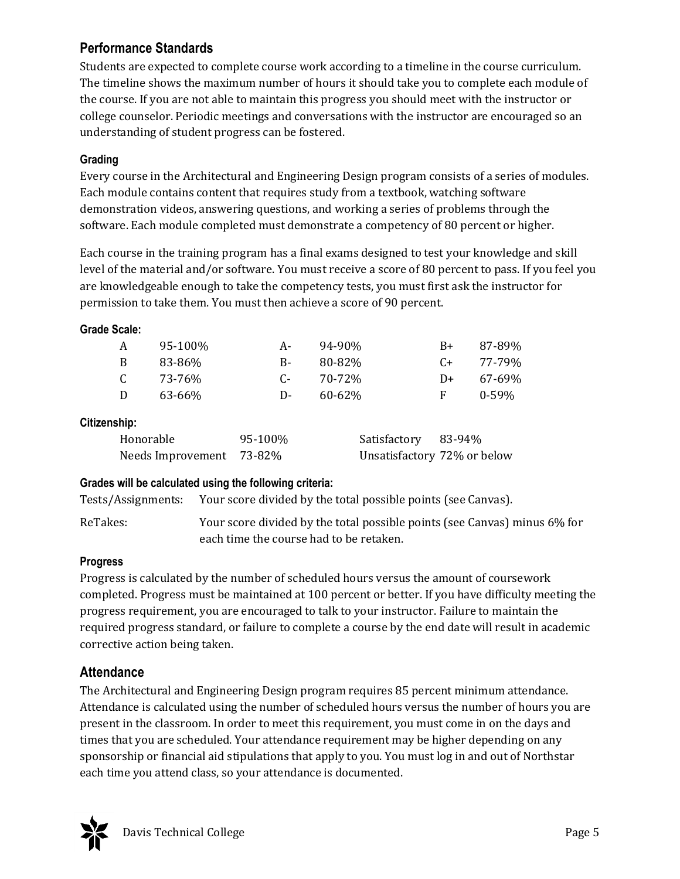# **Performance Standards**

Students are expected to complete course work according to a timeline in the course curriculum. The timeline shows the maximum number of hours it should take you to complete each module of the course. If you are not able to maintain this progress you should meet with the instructor or college counselor. Periodic meetings and conversations with the instructor are encouraged so an understanding of student progress can be fostered.

#### **Grading**

Every course in the Architectural and Engineering Design program consists of a series of modules. Each module contains content that requires study from a textbook, watching software demonstration videos, answering questions, and working a series of problems through the software. Each module completed must demonstrate a competency of 80 percent or higher.

Each course in the training program has a final exams designed to test your knowledge and skill level of the material and/or software. You must receive a score of 80 percent to pass. If you feel you are knowledgeable enough to take the competency tests, you must first ask the instructor for permission to take them. You must then achieve a score of 90 percent.

#### **Grade Scale:**

| A     | 95-100% | A- | 94-90%      | $B+$ | 87-89%    |
|-------|---------|----|-------------|------|-----------|
| B     | 83-86%  | B- | 80-82%      | $C+$ | 77-79%    |
| C     | 73-76%  | C- | 70-72%      | D+   | 67-69%    |
| D     | 63-66%  | D- | $60 - 62\%$ | F    | $0 - 59%$ |
| ehin: |         |    |             |      |           |

#### **Citizenship:**

| Honorable                | 95-100% | Satisfactory 83-94% |                             |
|--------------------------|---------|---------------------|-----------------------------|
| Needs Improvement 73-82% |         |                     | Unsatisfactory 72% or below |

#### **Grades will be calculated using the following criteria:**

Tests/Assignments: Your score divided by the total possible points (see Canvas).

ReTakes: Your score divided by the total possible points (see Canvas) minus 6% for each time the course had to be retaken.

#### **Progress**

Progress is calculated by the number of scheduled hours versus the amount of coursework completed. Progress must be maintained at 100 percent or better. If you have difficulty meeting the progress requirement, you are encouraged to talk to your instructor. Failure to maintain the required progress standard, or failure to complete a course by the end date will result in academic corrective action being taken.

### **Attendance**

The Architectural and Engineering Design program requires 85 percent minimum attendance. Attendance is calculated using the number of scheduled hours versus the number of hours you are present in the classroom. In order to meet this requirement, you must come in on the days and times that you are scheduled. Your attendance requirement may be higher depending on any sponsorship or financial aid stipulations that apply to you. You must log in and out of Northstar each time you attend class, so your attendance is documented.

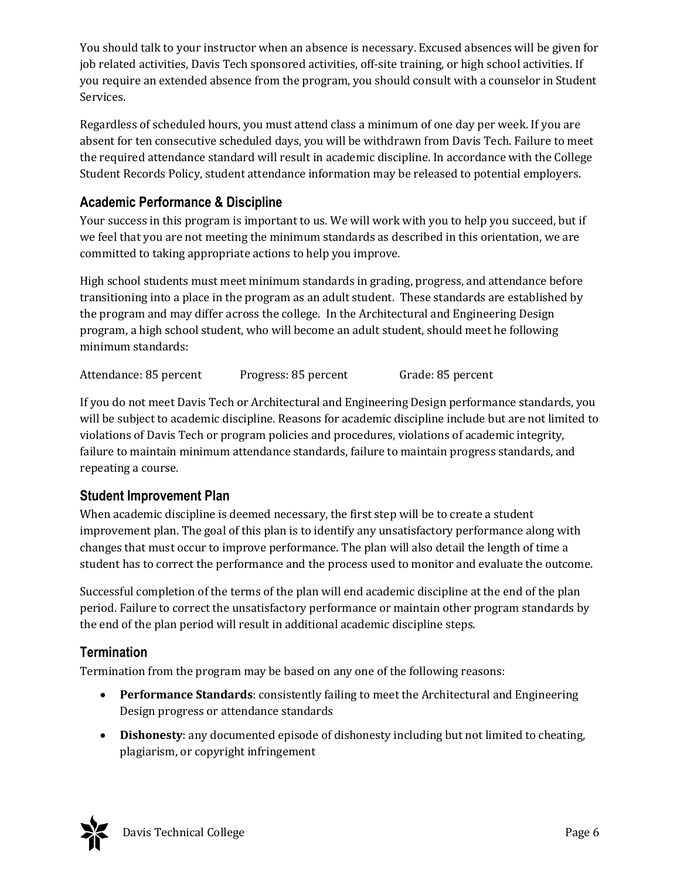You should talk to your instructor when an absence is necessary. Excused absences will be given for job related activities, Davis Tech sponsored activities, off-site training, or high school activities. If you require an extended absence from the program, you should consult with a counselor in Student Services.

Regardless of scheduled hours, you must attend class a minimum of one day per week. If you are absent for ten consecutive scheduled days, you will be withdrawn from Davis Tech. Failure to meet the required attendance standard will result in academic discipline. In accordance with the College Student Records Policy, student attendance information may be released to potential employers.

# **Academic Performance & Discipline**

Your success in this program is important to us. We will work with you to help you succeed, but if we feel that you are not meeting the minimum standards as described in this orientation, we are committed to taking appropriate actions to help you improve.

High school students must meet minimum standards in grading, progress, and attendance before transitioning into a place in the program as an adult student. These standards are established by the program and may differ across the college. In the Architectural and Engineering Design program, a high school student, who will become an adult student, should meet he following minimum standards:

Attendance: 85 percent Progress: 85 percent Grade: 85 percent

If you do not meet Davis Tech or Architectural and Engineering Design performance standards, you will be subject to academic discipline. Reasons for academic discipline include but are not limited to violations of Davis Tech or program policies and procedures, violations of academic integrity, failure to maintain minimum attendance standards, failure to maintain progress standards, and repeating a course.

### **Student Improvement Plan**

When academic discipline is deemed necessary, the first step will be to create a student improvement plan. The goal of this plan is to identify any unsatisfactory performance along with changes that must occur to improve performance. The plan will also detail the length of time a student has to correct the performance and the process used to monitor and evaluate the outcome.

Successful completion of the terms of the plan will end academic discipline at the end of the plan period. Failure to correct the unsatisfactory performance or maintain other program standards by the end of the plan period will result in additional academic discipline steps.

# **Termination**

Termination from the program may be based on any one of the following reasons:

- **Performance Standards**: consistently failing to meet the Architectural and Engineering Design progress or attendance standards
- **Dishonesty**: any documented episode of dishonesty including but not limited to cheating, plagiarism, or copyright infringement

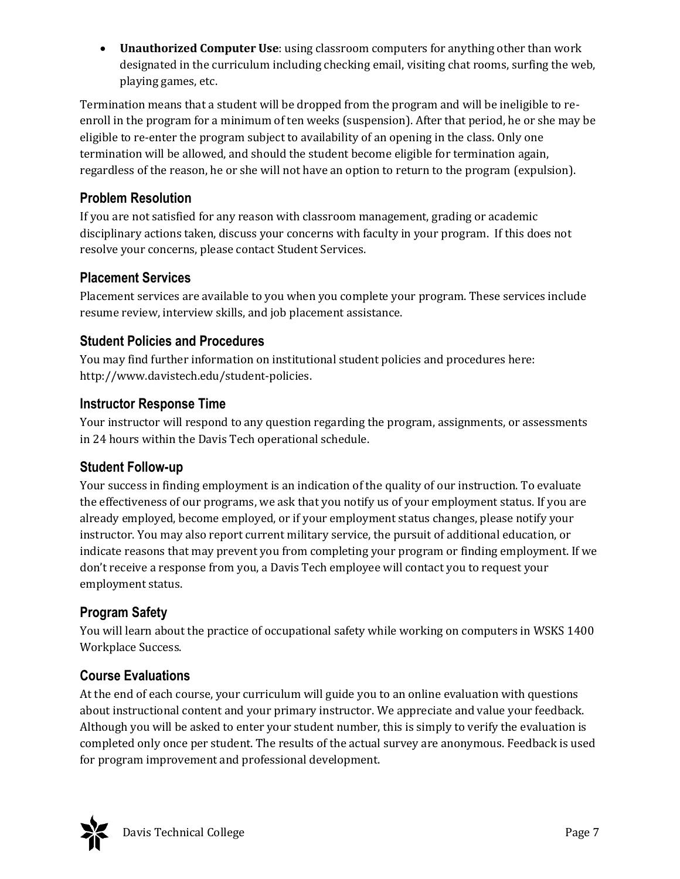**Unauthorized Computer Use**: using classroom computers for anything other than work designated in the curriculum including checking email, visiting chat rooms, surfing the web, playing games, etc.

Termination means that a student will be dropped from the program and will be ineligible to reenroll in the program for a minimum of ten weeks (suspension). After that period, he or she may be eligible to re-enter the program subject to availability of an opening in the class. Only one termination will be allowed, and should the student become eligible for termination again, regardless of the reason, he or she will not have an option to return to the program (expulsion).

# **Problem Resolution**

If you are not satisfied for any reason with classroom management, grading or academic disciplinary actions taken, discuss your concerns with faculty in your program. If this does not resolve your concerns, please contact Student Services.

# **Placement Services**

Placement services are available to you when you complete your program. These services include resume review, interview skills, and job placement assistance.

# **Student Policies and Procedures**

You may find further information on institutional student policies and procedures here: http://www.davistech.edu/student-policies.

# **Instructor Response Time**

Your instructor will respond to any question regarding the program, assignments, or assessments in 24 hours within the Davis Tech operational schedule.

# **Student Follow-up**

Your success in finding employment is an indication of the quality of our instruction. To evaluate the effectiveness of our programs, we ask that you notify us of your employment status. If you are already employed, become employed, or if your employment status changes, please notify your instructor. You may also report current military service, the pursuit of additional education, or indicate reasons that may prevent you from completing your program or finding employment. If we don't receive a response from you, a Davis Tech employee will contact you to request your employment status.

# **Program Safety**

You will learn about the practice of occupational safety while working on computers in WSKS 1400 Workplace Success.

# **Course Evaluations**

At the end of each course, your curriculum will guide you to an online evaluation with questions about instructional content and your primary instructor. We appreciate and value your feedback. Although you will be asked to enter your student number, this is simply to verify the evaluation is completed only once per student. The results of the actual survey are anonymous. Feedback is used for program improvement and professional development.

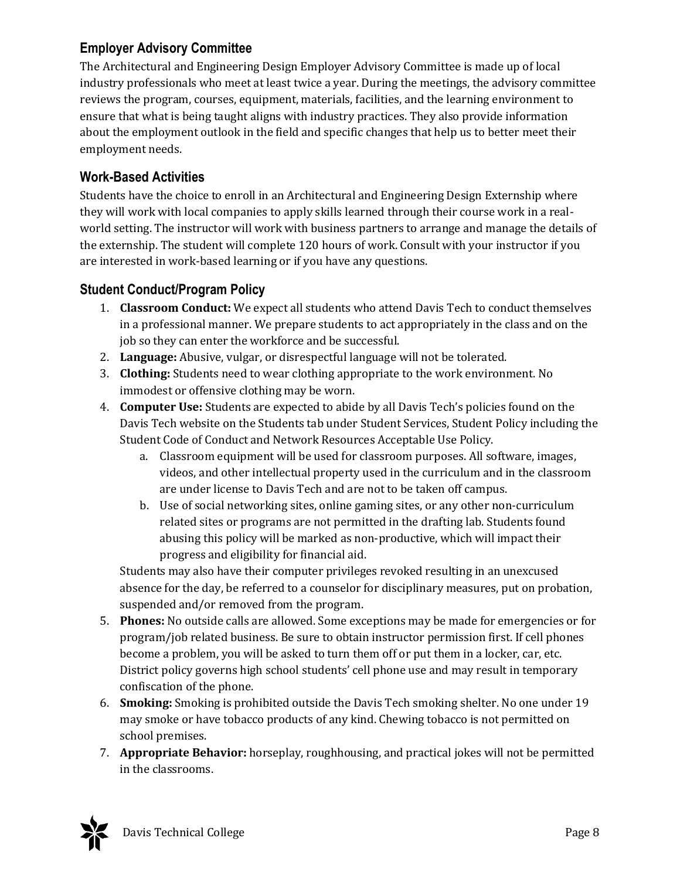# **Employer Advisory Committee**

The Architectural and Engineering Design Employer Advisory Committee is made up of local industry professionals who meet at least twice a year. During the meetings, the advisory committee reviews the program, courses, equipment, materials, facilities, and the learning environment to ensure that what is being taught aligns with industry practices. They also provide information about the employment outlook in the field and specific changes that help us to better meet their employment needs.

### **Work-Based Activities**

Students have the choice to enroll in an Architectural and Engineering Design Externship where they will work with local companies to apply skills learned through their course work in a realworld setting. The instructor will work with business partners to arrange and manage the details of the externship. The student will complete 120 hours of work. Consult with your instructor if you are interested in work-based learning or if you have any questions.

### **Student Conduct/Program Policy**

- 1. **Classroom Conduct:** We expect all students who attend Davis Tech to conduct themselves in a professional manner. We prepare students to act appropriately in the class and on the job so they can enter the workforce and be successful.
- 2. **Language:** Abusive, vulgar, or disrespectful language will not be tolerated.
- 3. **Clothing:** Students need to wear clothing appropriate to the work environment. No immodest or offensive clothing may be worn.
- 4. **Computer Use:** Students are expected to abide by all Davis Tech's policies found on the Davis Tech website on the Students tab under Student Services, Student Policy including the Student Code of Conduct and Network Resources Acceptable Use Policy.
	- a. Classroom equipment will be used for classroom purposes. All software, images, videos, and other intellectual property used in the curriculum and in the classroom are under license to Davis Tech and are not to be taken off campus.
	- b. Use of social networking sites, online gaming sites, or any other non-curriculum related sites or programs are not permitted in the drafting lab. Students found abusing this policy will be marked as non-productive, which will impact their progress and eligibility for financial aid.

Students may also have their computer privileges revoked resulting in an unexcused absence for the day, be referred to a counselor for disciplinary measures, put on probation, suspended and/or removed from the program.

- 5. **Phones:** No outside calls are allowed. Some exceptions may be made for emergencies or for program/job related business. Be sure to obtain instructor permission first. If cell phones become a problem, you will be asked to turn them off or put them in a locker, car, etc. District policy governs high school students' cell phone use and may result in temporary confiscation of the phone.
- 6. **Smoking:** Smoking is prohibited outside the Davis Tech smoking shelter. No one under 19 may smoke or have tobacco products of any kind. Chewing tobacco is not permitted on school premises.
- 7. **Appropriate Behavior:** horseplay, roughhousing, and practical jokes will not be permitted in the classrooms.